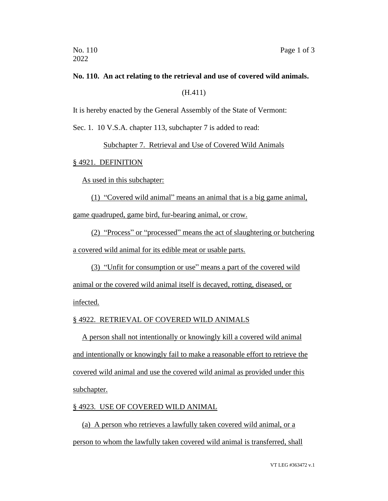# **No. 110. An act relating to the retrieval and use of covered wild animals.** (H.411)

It is hereby enacted by the General Assembly of the State of Vermont:

Sec. 1. 10 V.S.A. chapter 113, subchapter 7 is added to read:

Subchapter 7. Retrieval and Use of Covered Wild Animals

#### § 4921. DEFINITION

As used in this subchapter:

(1) "Covered wild animal" means an animal that is a big game animal,

game quadruped, game bird, fur-bearing animal, or crow.

(2) "Process" or "processed" means the act of slaughtering or butchering a covered wild animal for its edible meat or usable parts.

(3) "Unfit for consumption or use" means a part of the covered wild

animal or the covered wild animal itself is decayed, rotting, diseased, or

infected.

## § 4922. RETRIEVAL OF COVERED WILD ANIMALS

A person shall not intentionally or knowingly kill a covered wild animal and intentionally or knowingly fail to make a reasonable effort to retrieve the covered wild animal and use the covered wild animal as provided under this subchapter.

## § 4923. USE OF COVERED WILD ANIMAL

(a) A person who retrieves a lawfully taken covered wild animal, or a person to whom the lawfully taken covered wild animal is transferred, shall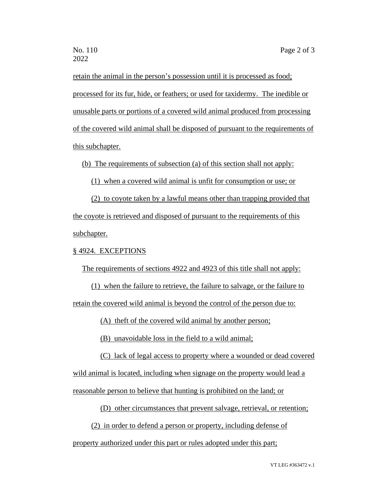retain the animal in the person's possession until it is processed as food; processed for its fur, hide, or feathers; or used for taxidermy. The inedible or unusable parts or portions of a covered wild animal produced from processing of the covered wild animal shall be disposed of pursuant to the requirements of this subchapter.

(b) The requirements of subsection (a) of this section shall not apply:

(1) when a covered wild animal is unfit for consumption or use; or

(2) to coyote taken by a lawful means other than trapping provided that the coyote is retrieved and disposed of pursuant to the requirements of this subchapter.

#### § 4924. EXCEPTIONS

The requirements of sections 4922 and 4923 of this title shall not apply:

(1) when the failure to retrieve, the failure to salvage, or the failure to retain the covered wild animal is beyond the control of the person due to:

(A) theft of the covered wild animal by another person;

(B) unavoidable loss in the field to a wild animal;

(C) lack of legal access to property where a wounded or dead covered

wild animal is located, including when signage on the property would lead a

reasonable person to believe that hunting is prohibited on the land; or

(D) other circumstances that prevent salvage, retrieval, or retention;

(2) in order to defend a person or property, including defense of

property authorized under this part or rules adopted under this part;